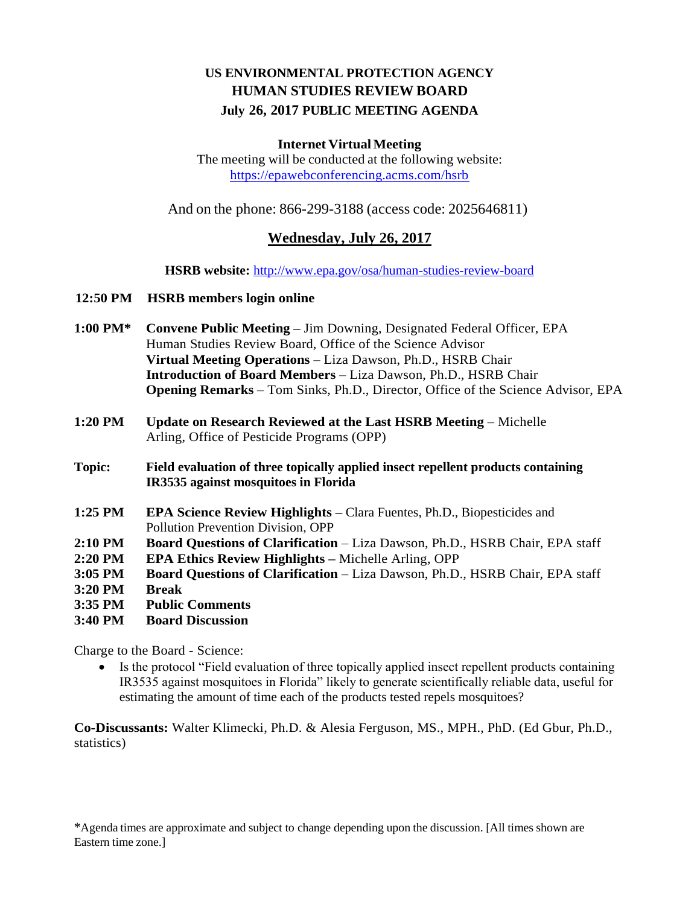## **US ENVIRONMENTAL PROTECTION AGENCY HUMAN STUDIES REVIEW BOARD July 26, 2017 PUBLIC MEETING AGENDA**

## **Internet VirtualMeeting**

The meeting will be conducted at the following website: <https://epawebconferencing.acms.com/hsrb>

And on the phone: 866-299-3188 (access code: 2025646811)

## **Wednesday, July 26, 2017**

**HSRB website:** <http://www.epa.gov/osa/human-studies-review-board>

## **12:50 PM HSRB members login online**

- **1:00 PM\* Convene Public Meeting –** Jim Downing, Designated Federal Officer, EPA Human Studies Review Board, Office of the Science Advisor **Virtual Meeting Operations** – Liza Dawson, Ph.D., HSRB Chair **Introduction of Board Members** – Liza Dawson, Ph.D., HSRB Chair **Opening Remarks** – Tom Sinks, Ph.D., Director, Office of the Science Advisor, EPA
- **1:20 PM Update on Research Reviewed at the Last HSRB Meeting** Michelle Arling, Office of Pesticide Programs (OPP)
- **Topic: Field evaluation of three topically applied insect repellent products containing IR3535 against mosquitoes in Florida**
- **1:25 PM EPA Science Review Highlights –** Clara Fuentes, Ph.D., Biopesticides and Pollution Prevention Division, OPP
- **2:10 PM Board Questions of Clarification**  Liza Dawson, Ph.D., HSRB Chair, EPA staff
- **2:20 PM EPA Ethics Review Highlights –** Michelle Arling, OPP
- **3:05 PM Board Questions of Clarification**  Liza Dawson, Ph.D., HSRB Chair, EPA staff
- **3:20 PM Break**
- **3:35 PM Public Comments**
- **3:40 PM Board Discussion**

Charge to the Board - Science:

 Is the protocol "Field evaluation of three topically applied insect repellent products containing IR3535 against mosquitoes in Florida" likely to generate scientifically reliable data, useful for estimating the amount of time each of the products tested repels mosquitoes?

**Co-Discussants:** Walter Klimecki, Ph.D. & Alesia Ferguson, MS., MPH., PhD. (Ed Gbur, Ph.D., statistics)